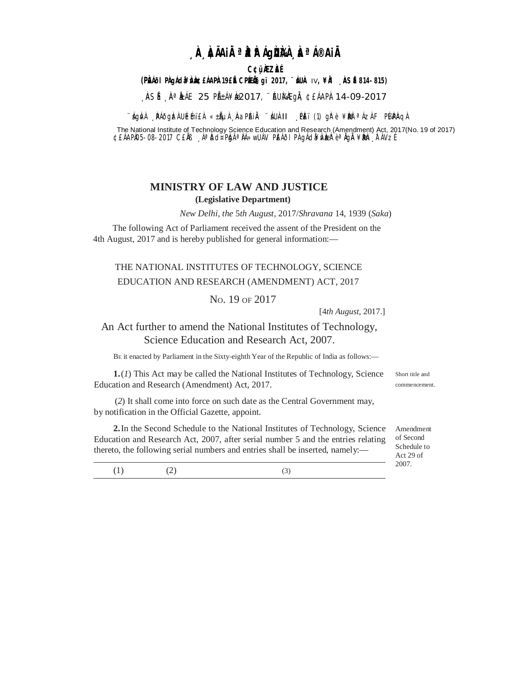# **A AIAIRªA AIQUAA AªIBIA**

**C¢üÀZÀÉ** 

#### (PLAIOI PAgÁda¥DAD EÁAPA 19EIE CPIEIIS gï 2017, "ILUA IV,¥IA \_ ASE 814-815)

, ASÍ , A<sup>a</sup> LÁE 25 PÁ±Á¥L2017, "AUMEGA, ¢EÁAPI 14-09-2017

∵ÁgNA "ÞAðgLzA ULémï£A «±ÃµA "NaPAHA ∵ÁUA-II "ÞEï (1) gl?è¥Deð <sup>a</sup> ÁzAF PKAPAQA

The National Institute of Technology Science Education and Research (Amendment) Act, 2017(No. 19 of 2017) ¢£ÁAPI05-08-2017 C£IN AªI5d¤PIghªIA»wUAV PEÁðI PI gÁd¥VIzere e Agli ¥BIn FÁVzE

#### **MINISTRY OF LAW AND JUSTICE** (Legislative Department)

New Delhi, the 5th August, 2017/Shravana 14, 1939 (Saka)

The following Act of Parliament received the assent of the President on the 4th August, 2017 and is hereby published for general information:—

## THE NATIONAL INSTITUTES OF TECHNOLOGY, SCIENCE EDUCATION AND RESEARCH (AMENDMENT) ACT, 2017

#### No. 19 OF 2017

[4th August, 2017.]

### An Act further to amend the National Institutes of Technology, Science Education and Research Act, 2007.

BE it enacted by Parliament in the Sixty-eighth Year of the Republic of India as follows:-

 $1.(1)$  This Act may be called the National Institutes of Technology, Science Education and Research (Amendment) Act, 2017.

Short title and commencement

(2) It shall come into force on such date as the Central Government may, by notification in the Official Gazette, appoint.

2. In the Second Schedule to the National Institutes of Technology, Science Education and Research Act, 2007, after serial number 5 and the entries relating thereto, the following serial numbers and entries shall be inserted, namely:-

Amendment of Second Schedule to Act 29 of 2007.

 $(1)$  $(2)$  $(3)$